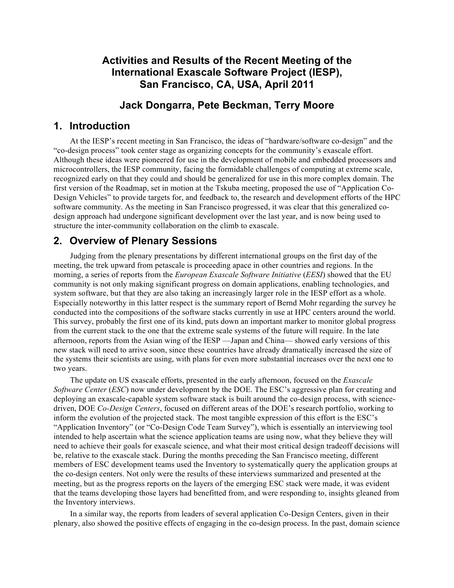# **Activities and Results of the Recent Meeting of the International Exascale Software Project (IESP), San Francisco, CA, USA, April 2011**

# **Jack Dongarra, Pete Beckman, Terry Moore**

### **1. Introduction**

At the IESP's recent meeting in San Francisco, the ideas of "hardware/software co-design" and the "co-design process" took center stage as organizing concepts for the community's exascale effort. Although these ideas were pioneered for use in the development of mobile and embedded processors and microcontrollers, the IESP community, facing the formidable challenges of computing at extreme scale, recognized early on that they could and should be generalized for use in this more complex domain. The first version of the Roadmap, set in motion at the Tskuba meeting, proposed the use of "Application Co-Design Vehicles" to provide targets for, and feedback to, the research and development efforts of the HPC software community. As the meeting in San Francisco progressed, it was clear that this generalized codesign approach had undergone significant development over the last year, and is now being used to structure the inter-community collaboration on the climb to exascale.

## **2. Overview of Plenary Sessions**

Judging from the plenary presentations by different international groups on the first day of the meeting, the trek upward from petascale is proceeding apace in other countries and regions. In the morning, a series of reports from the *European Exascale Software Initiative* (*EESI*) showed that the EU community is not only making significant progress on domain applications, enabling technologies, and system software, but that they are also taking an increasingly larger role in the IESP effort as a whole. Especially noteworthy in this latter respect is the summary report of Bernd Mohr regarding the survey he conducted into the compositions of the software stacks currently in use at HPC centers around the world. This survey, probably the first one of its kind, puts down an important marker to monitor global progress from the current stack to the one that the extreme scale systems of the future will require. In the late afternoon, reports from the Asian wing of the IESP —Japan and China— showed early versions of this new stack will need to arrive soon, since these countries have already dramatically increased the size of the systems their scientists are using, with plans for even more substantial increases over the next one to two years.

The update on US exascale efforts, presented in the early afternoon, focused on the *Exascale Software Center* (*ESC*) now under development by the DOE. The ESC's aggressive plan for creating and deploying an exascale-capable system software stack is built around the co-design process, with sciencedriven, DOE *Co-Design Centers*, focused on different areas of the DOE's research portfolio, working to inform the evolution of the projected stack. The most tangible expression of this effort is the ESC's "Application Inventory" (or "Co-Design Code Team Survey"), which is essentially an interviewing tool intended to help ascertain what the science application teams are using now, what they believe they will need to achieve their goals for exascale science, and what their most critical design tradeoff decisions will be, relative to the exascale stack. During the months preceding the San Francisco meeting, different members of ESC development teams used the Inventory to systematically query the application groups at the co-design centers. Not only were the results of these interviews summarized and presented at the meeting, but as the progress reports on the layers of the emerging ESC stack were made, it was evident that the teams developing those layers had benefitted from, and were responding to, insights gleaned from the Inventory interviews.

In a similar way, the reports from leaders of several application Co-Design Centers, given in their plenary, also showed the positive effects of engaging in the co-design process. In the past, domain science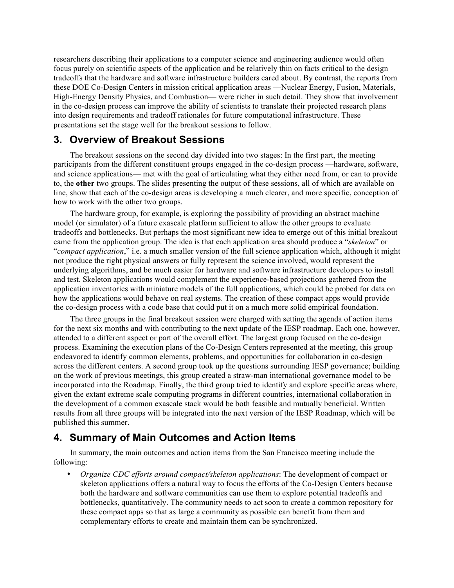researchers describing their applications to a computer science and engineering audience would often focus purely on scientific aspects of the application and be relatively thin on facts critical to the design tradeoffs that the hardware and software infrastructure builders cared about. By contrast, the reports from these DOE Co-Design Centers in mission critical application areas —Nuclear Energy, Fusion, Materials, High-Energy Density Physics, and Combustion— were richer in such detail. They show that involvement in the co-design process can improve the ability of scientists to translate their projected research plans into design requirements and tradeoff rationales for future computational infrastructure. These presentations set the stage well for the breakout sessions to follow.

#### **3. Overview of Breakout Sessions**

The breakout sessions on the second day divided into two stages: In the first part, the meeting participants from the different constituent groups engaged in the co-design process —hardware, software, and science applications— met with the goal of articulating what they either need from, or can to provide to, the **other** two groups. The slides presenting the output of these sessions, all of which are available on line, show that each of the co-design areas is developing a much clearer, and more specific, conception of how to work with the other two groups.

The hardware group, for example, is exploring the possibility of providing an abstract machine model (or simulator) of a future exascale platform sufficient to allow the other groups to evaluate tradeoffs and bottlenecks. But perhaps the most significant new idea to emerge out of this initial breakout came from the application group. The idea is that each application area should produce a "*skeleton*" or "*compact application*," i.e. a much smaller version of the full science application which, although it might not produce the right physical answers or fully represent the science involved, would represent the underlying algorithms, and be much easier for hardware and software infrastructure developers to install and test. Skeleton applications would complement the experience-based projections gathered from the application inventories with miniature models of the full applications, which could be probed for data on how the applications would behave on real systems. The creation of these compact apps would provide the co-design process with a code base that could put it on a much more solid empirical foundation.

The three groups in the final breakout session were charged with setting the agenda of action items for the next six months and with contributing to the next update of the IESP roadmap. Each one, however, attended to a different aspect or part of the overall effort. The largest group focused on the co-design process. Examining the execution plans of the Co-Design Centers represented at the meeting, this group endeavored to identify common elements, problems, and opportunities for collaboration in co-design across the different centers. A second group took up the questions surrounding IESP governance; building on the work of previous meetings, this group created a straw-man international governance model to be incorporated into the Roadmap. Finally, the third group tried to identify and explore specific areas where, given the extant extreme scale computing programs in different countries, international collaboration in the development of a common exascale stack would be both feasible and mutually beneficial. Written results from all three groups will be integrated into the next version of the IESP Roadmap, which will be published this summer.

### **4. Summary of Main Outcomes and Action Items**

In summary, the main outcomes and action items from the San Francisco meeting include the following:

• *Organize CDC efforts around compact/skeleton applications*: The development of compact or skeleton applications offers a natural way to focus the efforts of the Co-Design Centers because both the hardware and software communities can use them to explore potential tradeoffs and bottlenecks, quantitatively. The community needs to act soon to create a common repository for these compact apps so that as large a community as possible can benefit from them and complementary efforts to create and maintain them can be synchronized.